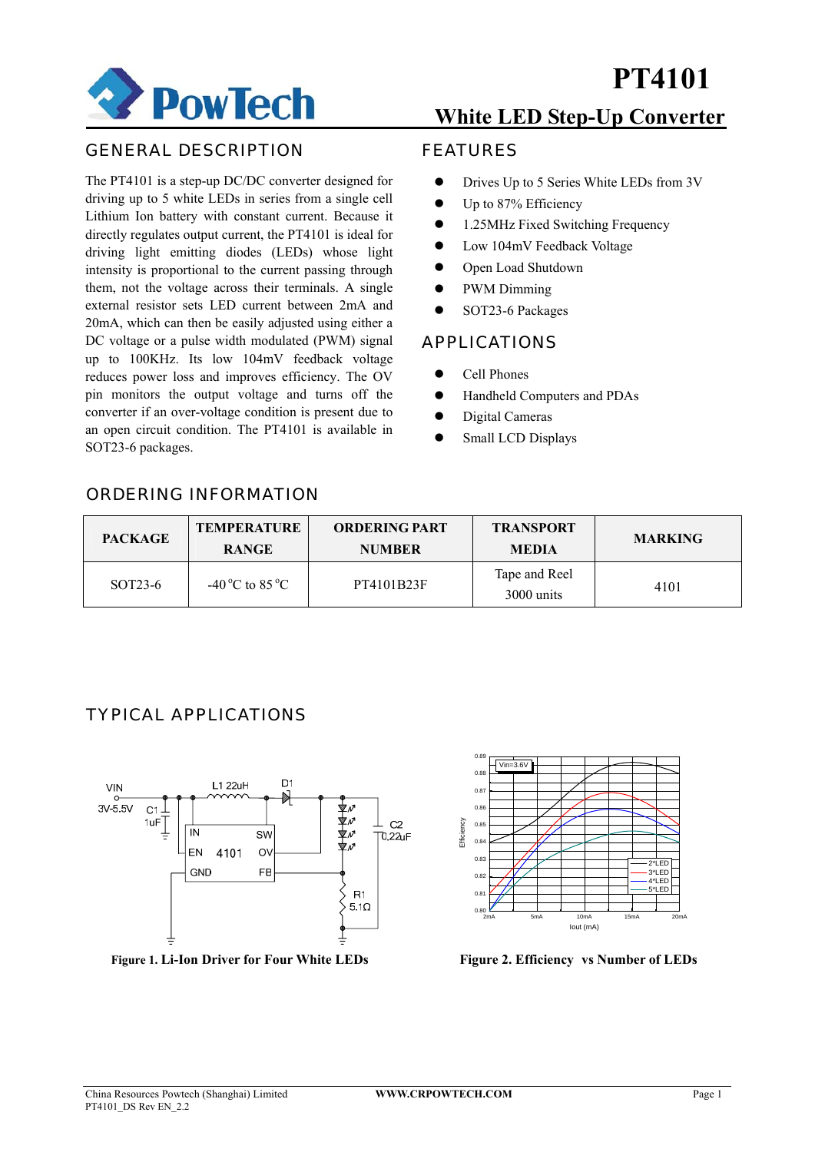

### GENERAL DESCRIPTION

The PT4101 is a step-up DC/DC converter designed for driving up to 5 white LEDs in series from a single cell Lithium Ion battery with constant current. Because it directly regulates output current, the PT4101 is ideal for driving light emitting diodes (LEDs) whose light intensity is proportional to the current passing through them, not the voltage across their terminals. A single external resistor sets LED current between 2mA and 20mA, which can then be easily adjusted using either a DC voltage or a pulse width modulated (PWM) signal up to 100KHz. Its low 104mV feedback voltage reduces power loss and improves efficiency. The OV pin monitors the output voltage and turns off the converter if an over-voltage condition is present due to an open circuit condition. The PT4101 is available in SOT23-6 packages.

### **White LED Step-Up Converter**

### FEATURES

- Drives Up to 5 Series White LEDs from 3V
- Up to 87% Efficiency
- 1.25MHz Fixed Switching Frequency
- Low 104mV Feedback Voltage
- Open Load Shutdown
- PWM Dimming
- SOT23-6 Packages

### APPLICATIONS

- z Cell Phones
- $\bullet$  Handheld Computers and PDAs
- Digital Cameras
- Small LCD Displays

### ORDERING INFORMATION

| <b>PACKAGE</b>       | <b>TEMPERATURE</b><br><b>RANGE</b> | <b>ORDERING PART</b><br><b>NUMBER</b> | <b>TRANSPORT</b><br><b>MEDIA</b> | <b>MARKING</b> |
|----------------------|------------------------------------|---------------------------------------|----------------------------------|----------------|
| SOT <sub>23</sub> -6 | -40 °C to 85 °C                    | PT4101B23F                            | Tape and Reel<br>3000 units      | 4101           |

### TYPICAL APPLICATIONS



**Figure 1. Li-Ion Driver for Four White LEDs** Figure 2. Efficiency vs Number of LEDs

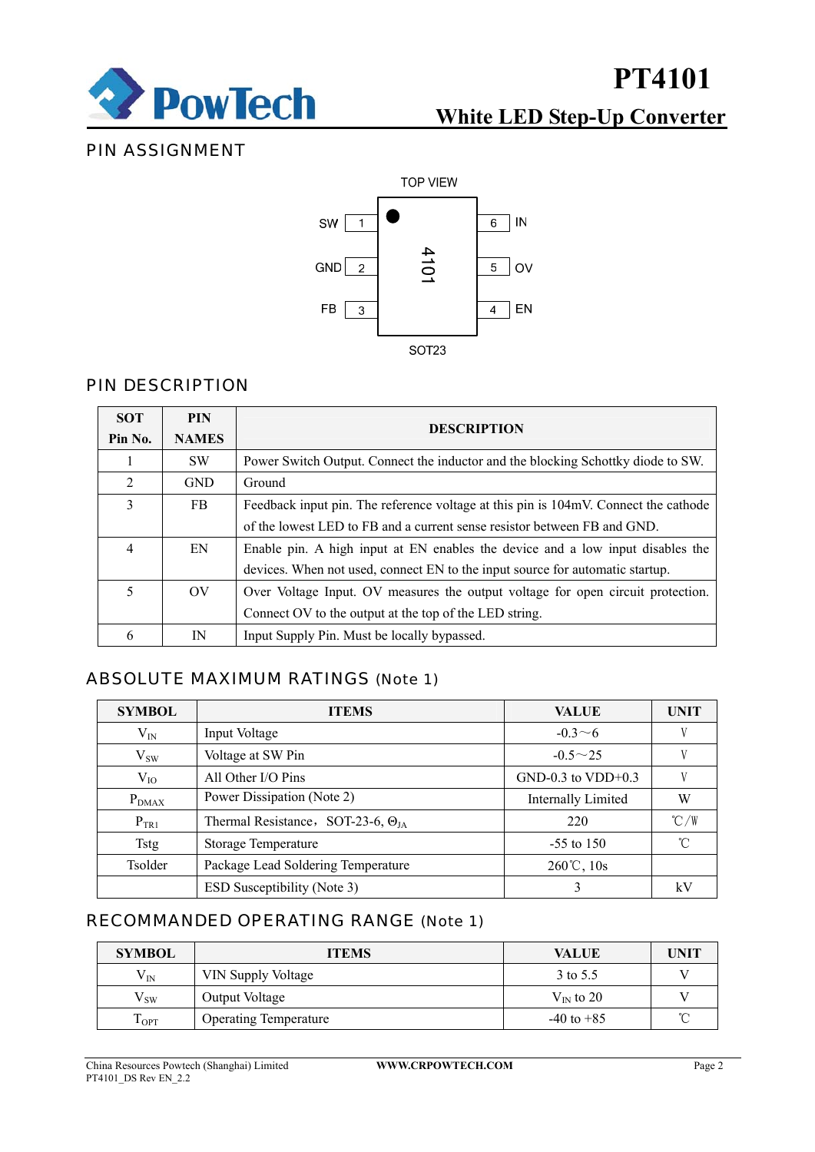

## **PT4101**

## **White LED Step-Up Converter**

### PIN ASSIGNMENT



### PIN DESCRIPTION

| <b>SOT</b>     | <b>PIN</b>            |                                                                                     |  |  |
|----------------|-----------------------|-------------------------------------------------------------------------------------|--|--|
| Pin No.        | <b>NAMES</b>          | <b>DESCRIPTION</b>                                                                  |  |  |
|                | <b>SW</b>             | Power Switch Output. Connect the inductor and the blocking Schottky diode to SW.    |  |  |
| $\overline{2}$ | <b>GND</b>            | Ground                                                                              |  |  |
| 3              | FB.                   | Feedback input pin. The reference voltage at this pin is 104mV. Connect the cathode |  |  |
|                |                       | of the lowest LED to FB and a current sense resistor between FB and GND.            |  |  |
| $\overline{4}$ | EN                    | Enable pin. A high input at EN enables the device and a low input disables the      |  |  |
|                |                       | devices. When not used, connect EN to the input source for automatic startup.       |  |  |
| 5              | $\overline{\text{O}}$ | Over Voltage Input. OV measures the output voltage for open circuit protection.     |  |  |
|                |                       | Connect OV to the output at the top of the LED string.                              |  |  |
| 6              | IN                    | Input Supply Pin. Must be locally bypassed.                                         |  |  |

### ABSOLUTE MAXIMUM RATINGS (Note 1)

| <b>SYMBOL</b> | <b>ITEMS</b>                                | <b>VALUE</b>           | <b>UNIT</b>   |
|---------------|---------------------------------------------|------------------------|---------------|
| $V_{IN}$      | Input Voltage                               | $-0.3 \sim 6$          |               |
| $V_{SW}$      | Voltage at SW Pin                           | $-0.5 \sim 25$         |               |
| $V_{IO}$      | All Other I/O Pins                          | $GND-0.3$ to $VDD+0.3$ |               |
| $P_{DMAX}$    | Power Dissipation (Note 2)                  | Internally Limited     | W             |
| $P_{TR1}$     | Thermal Resistance, SOT-23-6, $\Theta_{IA}$ | 220                    | $\degree$ C/W |
| <b>Tstg</b>   | Storage Temperature                         | $-55$ to 150           | $^{\circ}$ C  |
| Tsolder       | Package Lead Soldering Temperature          | $260^{\circ}$ C, 10s   |               |
|               | ESD Susceptibility (Note 3)                 | 3                      | kV            |

### RECOMMANDED OPERATING RANGE (Note 1)

| <b>SYMBOL</b>     | <b>ITEMS</b>                 | <b>VALUE</b>          | <b>UNIT</b> |
|-------------------|------------------------------|-----------------------|-------------|
| $\rm V_{IN}$      | VIN Supply Voltage           | 3 to 5.5              |             |
| $\rm{V}_{\rm SW}$ | Output Voltage               | $V_{\text{IN}}$ to 20 |             |
| LOPT.             | <b>Operating Temperature</b> | $-40$ to $+85$        |             |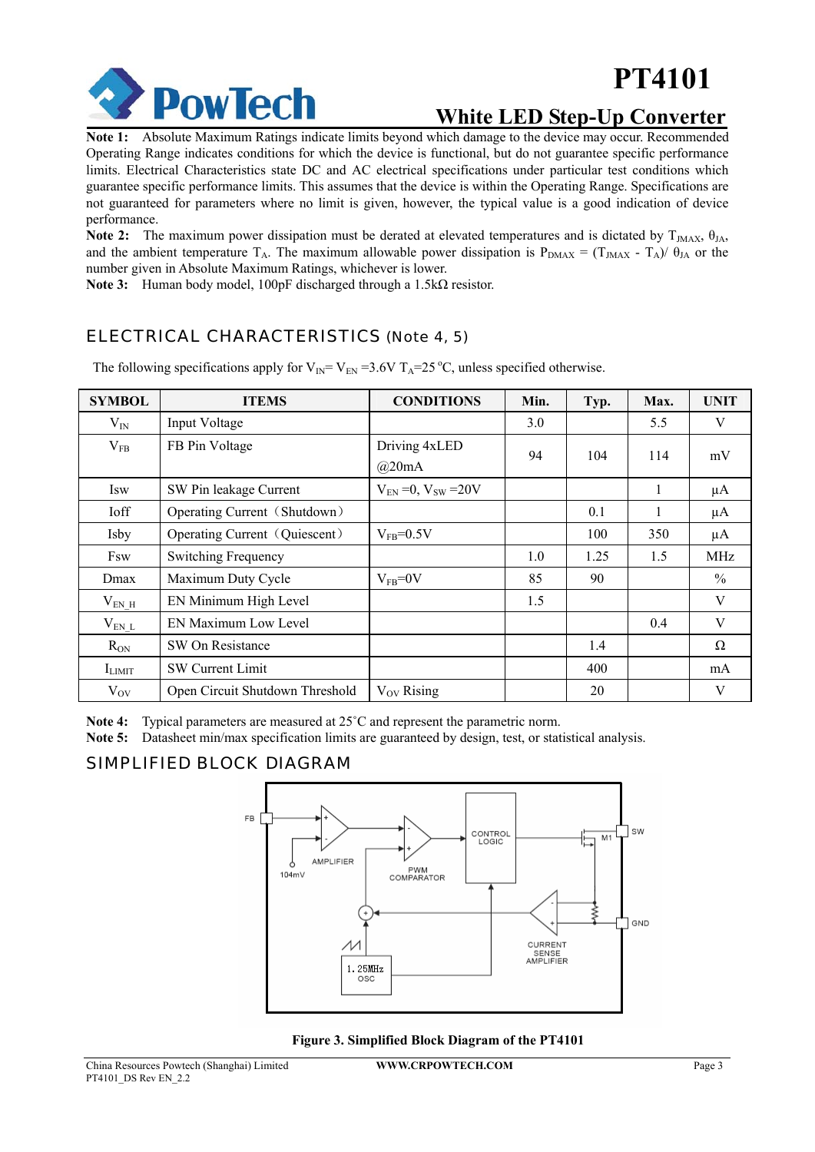

# **PT4101**

### **White LED Step-Up Converter**

**Note 1:** Absolute Maximum Ratings indicate limits beyond which damage to the device may occur. Recommended Operating Range indicates conditions for which the device is functional, but do not guarantee specific performance limits. Electrical Characteristics state DC and AC electrical specifications under particular test conditions which guarantee specific performance limits. This assumes that the device is within the Operating Range. Specifications are not guaranteed for parameters where no limit is given, however, the typical value is a good indication of device performance.

Note 2: The maximum power dissipation must be derated at elevated temperatures and is dictated by T<sub>JMAX</sub>, θ<sub>JA</sub>, and the ambient temperature T<sub>A</sub>. The maximum allowable power dissipation is  $P_{DMAX} = (T_{JMAX} - T_A)/\theta_{JA}$  or the number given in Absolute Maximum Ratings, whichever is lower.

**Note 3:** Human body model, 100pF discharged through a 1.5kΩ resistor.

### ELECTRICAL CHARACTERISTICS (Note 4, 5)

| <b>SYMBOL</b>   | <b>ITEMS</b>                    | <b>CONDITIONS</b>             | Min. | Typ. | Max. | <b>UNIT</b> |
|-----------------|---------------------------------|-------------------------------|------|------|------|-------------|
| $V_{IN}$        | Input Voltage                   |                               | 3.0  |      | 5.5  | V           |
| $V_{FB}$        | FB Pin Voltage                  | Driving 4xLED<br>@20mA        | 94   | 104  | 114  | mV          |
| Isw             | SW Pin leakage Current          | $V_{EN} = 0$ , $V_{SW} = 20V$ |      |      | 1    | μA          |
| <b>Ioff</b>     | Operating Current (Shutdown)    |                               |      | 0.1  | 1    | μA          |
| Isby            | Operating Current (Quiescent)   | $V_{FB} = 0.5V$               |      | 100  | 350  | μA          |
| Fsw             | <b>Switching Frequency</b>      |                               | 1.0  | 1.25 | 1.5  | <b>MHz</b>  |
| Dmax            | Maximum Duty Cycle              | $V_{FB} = 0V$                 | 85   | 90   |      | $\%$        |
| $V_{ENH}$       | EN Minimum High Level           |                               | 1.5  |      |      | V           |
| $\rm V_{EN\ L}$ | EN Maximum Low Level            |                               |      |      | 0.4  | V           |
| $R_{ON}$        | SW On Resistance                |                               |      | 1.4  |      | $\Omega$    |
| $I_{LIMIT}$     | <b>SW Current Limit</b>         |                               |      | 400  |      | mA          |
| $V_{\rm OV}$    | Open Circuit Shutdown Threshold | $V_{\rm OV}$ Rising           |      | 20   |      | V           |

The following specifications apply for  $V_{IN} = V_{EN} = 3.6V$  T<sub>A</sub>=25 °C, unless specified otherwise.

**Note 4:** Typical parameters are measured at 25˚C and represent the parametric norm.

**Note 5:** Datasheet min/max specification limits are guaranteed by design, test, or statistical analysis.

### SIMPLIFIED BLOCK DIAGRAM



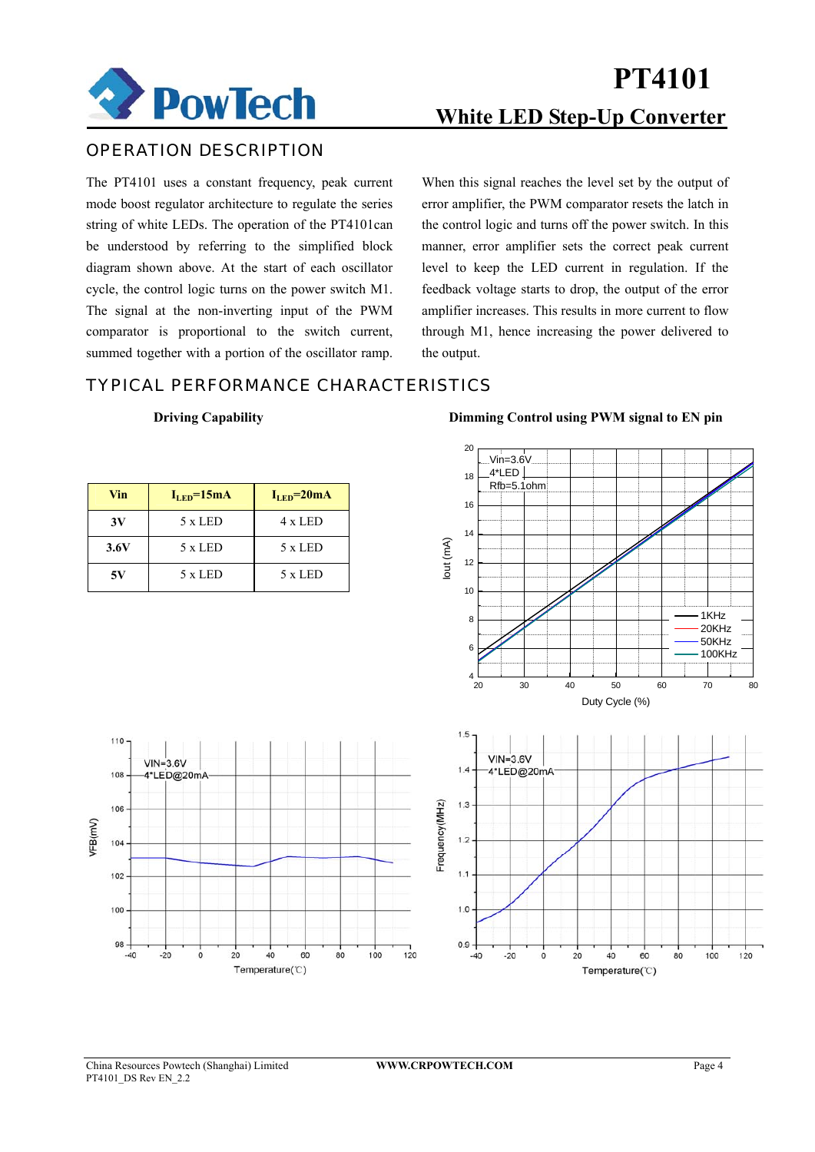

### OPERATION DESCRIPTION

The PT4101 uses a constant frequency, peak current mode boost regulator architecture to regulate the series string of white LEDs. The operation of the PT4101can be understood by referring to the simplified block diagram shown above. At the start of each oscillator cycle, the control logic turns on the power switch M1. The signal at the non-inverting input of the PWM comparator is proportional to the switch current, summed together with a portion of the oscillator ramp. When this signal reaches the level set by the output of error amplifier, the PWM comparator resets the latch in the control logic and turns off the power switch. In this manner, error amplifier sets the correct peak current level to keep the LED current in regulation. If the feedback voltage starts to drop, the output of the error amplifier increases. This results in more current to flow through M1, hence increasing the power delivered to the output.

### TYPICAL PERFORMANCE CHARACTERISTICS

#### **Driving Capability Dimming Control using PWM signal to EN pin**

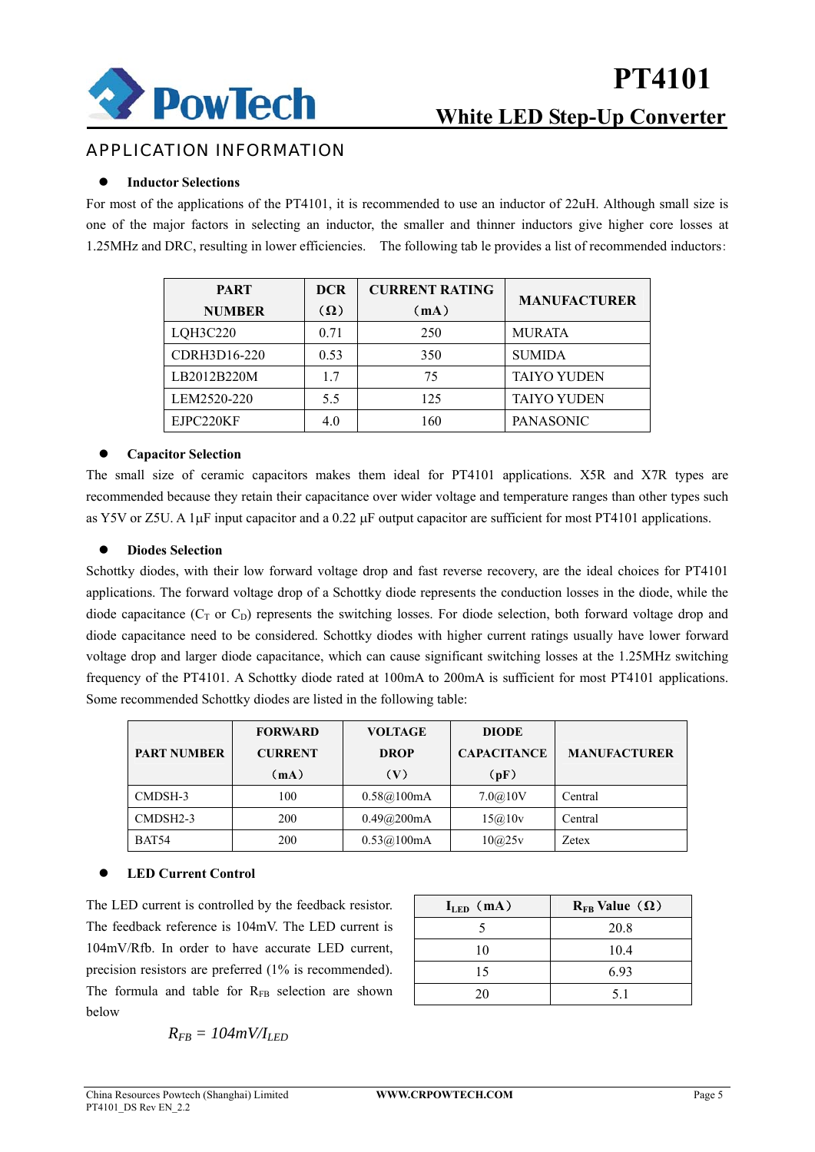

## **White LED Step-Up Converter PT4101**

### APPLICATION INFORMATION

#### **Inductor Selections**

For most of the applications of the PT4101, it is recommended to use an inductor of 22uH. Although small size is one of the major factors in selecting an inductor, the smaller and thinner inductors give higher core losses at 1.25MHz and DRC, resulting in lower efficiencies. The following tab le provides a list of recommended inductors:

| <b>PART</b>   | <b>DCR</b> | <b>CURRENT RATING</b> | <b>MANUFACTURER</b> |  |
|---------------|------------|-----------------------|---------------------|--|
| <b>NUMBER</b> | $(\Omega)$ | (mA)                  |                     |  |
| LQH3C220      | 0.71       | 250                   | <b>MURATA</b>       |  |
| CDRH3D16-220  | 0.53       | 350                   | <b>SUMIDA</b>       |  |
| LB2012B220M   | 17         | 75                    | <b>TAIYO YUDEN</b>  |  |
| LEM2520-220   | 5.5        | 125                   | <b>TAIYO YUDEN</b>  |  |
| EJPC220KF     | 4.0        | 160                   | <b>PANASONIC</b>    |  |

#### $\bullet$  Capacitor Selection

The small size of ceramic capacitors makes them ideal for PT4101 applications. X5R and X7R types are recommended because they retain their capacitance over wider voltage and temperature ranges than other types such as Y5V or Z5U. A 1μF input capacitor and a 0.22 μF output capacitor are sufficient for most PT4101 applications.

#### **•** Diodes Selection

Schottky diodes, with their low forward voltage drop and fast reverse recovery, are the ideal choices for PT4101 applications. The forward voltage drop of a Schottky diode represents the conduction losses in the diode, while the diode capacitance ( $C_T$  or  $C_D$ ) represents the switching losses. For diode selection, both forward voltage drop and diode capacitance need to be considered. Schottky diodes with higher current ratings usually have lower forward voltage drop and larger diode capacitance, which can cause significant switching losses at the 1.25MHz switching frequency of the PT4101. A Schottky diode rated at 100mA to 200mA is sufficient for most PT4101 applications. Some recommended Schottky diodes are listed in the following table:

|                    | <b>FORWARD</b> | <b>VOLTAGE</b><br><b>DIODE</b> |                                           |         |  |
|--------------------|----------------|--------------------------------|-------------------------------------------|---------|--|
| <b>PART NUMBER</b> | <b>CURRENT</b> | <b>DROP</b>                    | <b>MANUFACTURER</b><br><b>CAPACITANCE</b> |         |  |
|                    | (mA)           | (V)                            | (pF)                                      |         |  |
| CMDSH-3            | 100            | 0.58@100mA                     | 7.0@10V                                   | Central |  |
| CMDSH2-3           | 200            | 0.49@200mA                     | 15@10v                                    | Central |  |
| BAT54              | 200            | 0.53@100mA                     | 10@25v                                    | Zetex   |  |

#### **LED Current Control**

The LED current is controlled by the feedback resistor. The feedback reference is 104mV. The LED current is 104mV/Rfb. In order to have accurate LED current, precision resistors are preferred (1% is recommended). The formula and table for  $R_{FB}$  selection are shown below

**ILED**(**mA**) **RFB Value**(**Ω**) 5 20.8 10 10.4 15 6.93 20 5.1

$$
R_{FB} = 104 \, mV/I_{LED}
$$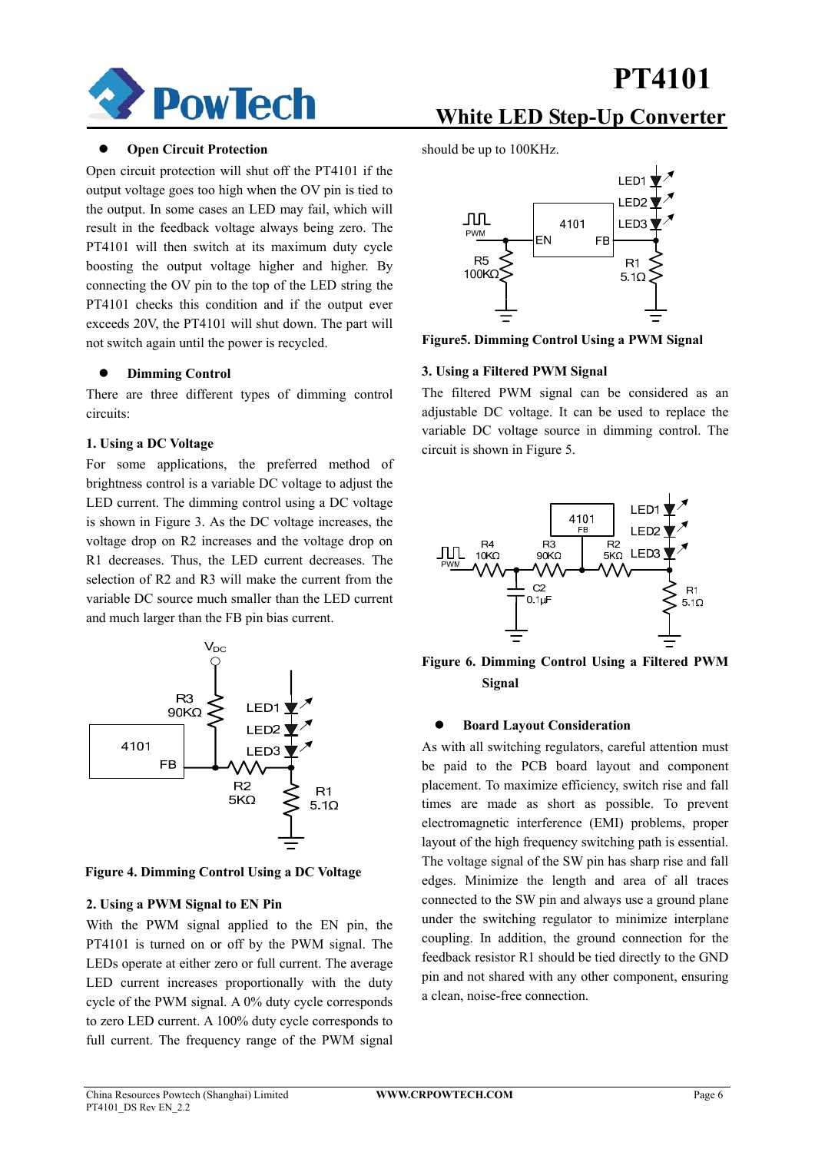

#### **Open Circuit Protection**

Open circuit protection will shut off the PT4101 if the output voltage goes too high when the OV pin is tied to the output. In some cases an LED may fail, which will result in the feedback voltage always being zero. The PT4101 will then switch at its maximum duty cycle boosting the output voltage higher and higher. By connecting the OV pin to the top of the LED string the PT4101 checks this condition and if the output ever exceeds 20V, the PT4101 will shut down. The part will not switch again until the power is recycled.

#### **Dimming Control**

There are three different types of dimming control circuits:

#### **1. Using a DC Voltage**

For some applications, the preferred method of brightness control is a variable DC voltage to adjust the LED current. The dimming control using a DC voltage is shown in Figure 3. As the DC voltage increases, the voltage drop on R2 increases and the voltage drop on R1 decreases. Thus, the LED current decreases. The selection of R2 and R3 will make the current from the variable DC source much smaller than the LED current and much larger than the FB pin bias current.



**Figure 4. Dimming Control Using a DC Voltage**

#### **2. Using a PWM Signal to EN Pin**

With the PWM signal applied to the EN pin, the PT4101 is turned on or off by the PWM signal. The LEDs operate at either zero or full current. The average LED current increases proportionally with the duty cycle of the PWM signal. A 0% duty cycle corresponds to zero LED current. A 100% duty cycle corresponds to full current. The frequency range of the PWM signal

## **PT4101**

### **White LED Step-Up Converter**

should be up to 100KHz.



**Figure5. Dimming Control Using a PWM Signal** 

#### **3. Using a Filtered PWM Signal**

The filtered PWM signal can be considered as an adjustable DC voltage. It can be used to replace the variable DC voltage source in dimming control. The circuit is shown in Figure 5.



**Figure 6. Dimming Control Using a Filtered PWM Signal** 

#### **Board Layout Consideration**

As with all switching regulators, careful attention must be paid to the PCB board layout and component placement. To maximize efficiency, switch rise and fall times are made as short as possible. To prevent electromagnetic interference (EMI) problems, proper layout of the high frequency switching path is essential. The voltage signal of the SW pin has sharp rise and fall edges. Minimize the length and area of all traces connected to the SW pin and always use a ground plane under the switching regulator to minimize interplane coupling. In addition, the ground connection for the feedback resistor R1 should be tied directly to the GND pin and not shared with any other component, ensuring a clean, noise-free connection.